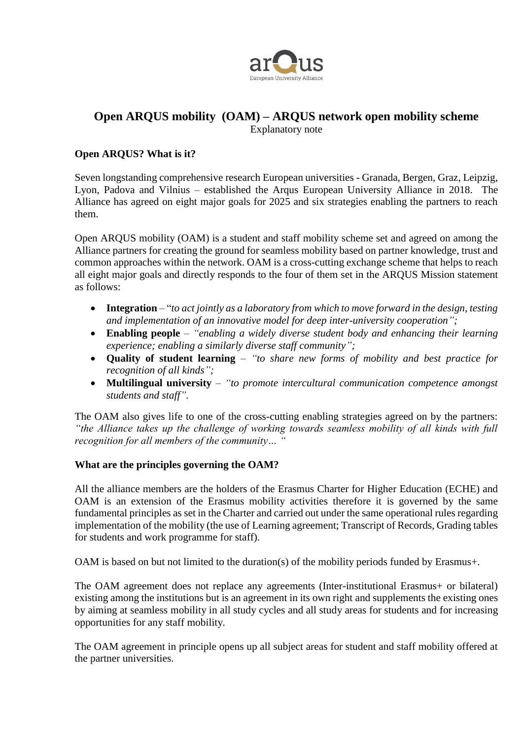

# **Open ARQUS mobility (OAM) – ARQUS network open mobility scheme**

Explanatory note

#### **Open ARQUS? What is it?**

Seven longstanding comprehensive research European universities - Granada, Bergen, Graz, Leipzig, Lyon, Padova and Vilnius – established the Arqus European University Alliance in 2018. The Alliance has agreed on eight major goals for 2025 and six strategies enabling the partners to reach them.

Open ARQUS mobility (OAM) is a student and staff mobility scheme set and agreed on among the Alliance partners for creating the ground for seamless mobility based on partner knowledge, trust and common approaches within the network. OAM is a cross-cutting exchange scheme that helps to reach all eight major goals and directly responds to the four of them set in the ARQUS Mission statement as follows:

- **Integration** "*to act jointly as a laboratory from which to move forward in the design, testing and implementation of an innovative model for deep inter-university cooperation";*
- **Enabling people** *"enabling a widely diverse student body and enhancing their learning experience; enabling a similarly diverse staff community";*
- **Quality of student learning** *"to share new forms of mobility and best practice for recognition of all kinds";*
- **Multilingual university** *"to promote intercultural communication competence amongst students and staff".*

The OAM also gives life to one of the cross-cutting enabling strategies agreed on by the partners: *"the Alliance takes up the challenge of working towards seamless mobility of all kinds with full recognition for all members of the community… "*

#### **What are the principles governing the OAM?**

All the alliance members are the holders of the Erasmus Charter for Higher Education (ECHE) and OAM is an extension of the Erasmus mobility activities therefore it is governed by the same fundamental principles as set in the Charter and carried out under the same operational rules regarding implementation of the mobility (the use of Learning agreement; Transcript of Records, Grading tables for students and work programme for staff).

OAM is based on but not limited to the duration(s) of the mobility periods funded by Erasmus+.

The OAM agreement does not replace any agreements (Inter-institutional Erasmus+ or bilateral) existing among the institutions but is an agreement in its own right and supplements the existing ones by aiming at seamless mobility in all study cycles and all study areas for students and for increasing opportunities for any staff mobility.

The OAM agreement in principle opens up all subject areas for student and staff mobility offered at the partner universities.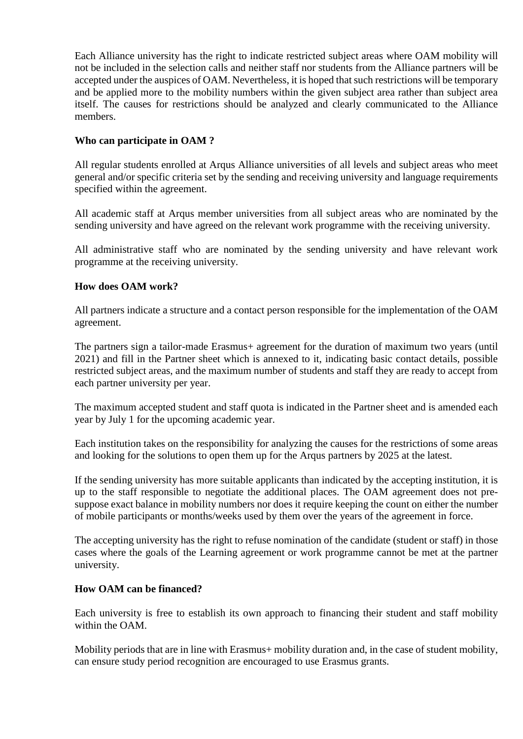Each Alliance university has the right to indicate restricted subject areas where OAM mobility will not be included in the selection calls and neither staff nor students from the Alliance partners will be accepted under the auspices of OAM. Nevertheless, it is hoped that such restrictions will be temporary and be applied more to the mobility numbers within the given subject area rather than subject area itself. The causes for restrictions should be analyzed and clearly communicated to the Alliance members.

## **Who can participate in OAM ?**

All regular students enrolled at Arqus Alliance universities of all levels and subject areas who meet general and/or specific criteria set by the sending and receiving university and language requirements specified within the agreement.

All academic staff at Arqus member universities from all subject areas who are nominated by the sending university and have agreed on the relevant work programme with the receiving university.

All administrative staff who are nominated by the sending university and have relevant work programme at the receiving university.

# **How does OAM work?**

All partners indicate a structure and a contact person responsible for the implementation of the OAM agreement.

The partners sign a tailor-made Erasmus+ agreement for the duration of maximum two years (until 2021) and fill in the Partner sheet which is annexed to it, indicating basic contact details, possible restricted subject areas, and the maximum number of students and staff they are ready to accept from each partner university per year.

The maximum accepted student and staff quota is indicated in the Partner sheet and is amended each year by July 1 for the upcoming academic year.

Each institution takes on the responsibility for analyzing the causes for the restrictions of some areas and looking for the solutions to open them up for the Arqus partners by 2025 at the latest.

If the sending university has more suitable applicants than indicated by the accepting institution, it is up to the staff responsible to negotiate the additional places. The OAM agreement does not presuppose exact balance in mobility numbers nor does it require keeping the count on either the number of mobile participants or months/weeks used by them over the years of the agreement in force.

The accepting university has the right to refuse nomination of the candidate (student or staff) in those cases where the goals of the Learning agreement or work programme cannot be met at the partner university.

### **How OAM can be financed?**

Each university is free to establish its own approach to financing their student and staff mobility within the OAM.

Mobility periods that are in line with Erasmus+ mobility duration and, in the case of student mobility, can ensure study period recognition are encouraged to use Erasmus grants.